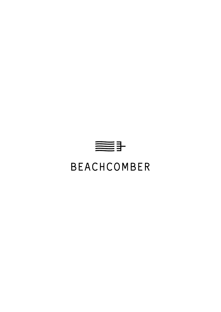

# **BEACHCOMBER**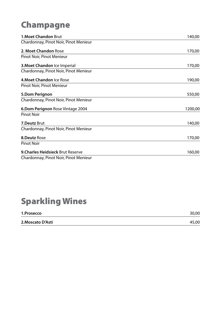### Champagne

| <b>1. Moet Chandon Brut</b>              | 140,00  |
|------------------------------------------|---------|
| Chardonnay, Pinot Noir, Pinot Menieur    |         |
| 2. Moet Chandon Rose                     | 170,00  |
| Pinot Noir, Pinot Menieur                |         |
| 3. Moet Chandon Ice Imperial             | 170,00  |
| Chardonnay, Pinot Noir, Pinot Menieur    |         |
| 4. Moet Chandon Ice Rose                 | 190,00  |
| Pinot Noir, Pinot Menieur                |         |
| 5.Dom Perignon                           | 550,00  |
| Chardonnay, Pinot Noir, Pinot Menieur    |         |
| 6. Dom Perignon Rose Vintage 2004        | 1200,00 |
| <b>Pinot Noir</b>                        |         |
| 7.Deutz Brut                             | 140,00  |
| Chardonnay, Pinot Noir, Pinot Menieur    |         |
| <b>8.Deutz Rose</b>                      | 170,00  |
| <b>Pinot Noir</b>                        |         |
| <b>9. Charles Heidsieck Brut Reserve</b> | 160,00  |
| Chardonnay, Pinot Noir, Pinot Menieur    |         |

#### Sparkling Wines

| 1.Prosecco        | 30,00 |
|-------------------|-------|
| 2. Moscato D'Asti | 45,00 |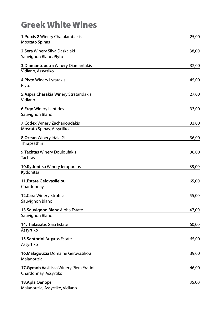#### Greek White Wines

| 1. Praxis 2 Winery Charalambakis                 | 25,00 |
|--------------------------------------------------|-------|
| <b>Moscato Spinas</b>                            |       |
| 2.Sera Winery Silva Daskalaki                    | 38,00 |
| Sauvignon Blanc, Plyto                           |       |
| 3. Diamantopetra Winery Diamantakis              | 32,00 |
| Vidiano, Assyrtiko                               |       |
| 4. Plyto Winery Lyrarakis                        | 45,00 |
| Plyto                                            |       |
| 5. Aspra Charakia Winery Strataridakis           | 27,00 |
| Vidiano                                          |       |
|                                                  | 33,00 |
| <b>6.Ergo Winery Lantides</b><br>Sauvignon Blanc |       |
|                                                  |       |
| 7. Codex Winery Zacharioudakis                   | 33,00 |
| Moscato Spinas, Assyrtiko                        |       |
| 8. Ocean Winery Idaia Gi                         | 36,00 |
| Thrapsathiri                                     |       |
| 9. Tachtas Winery Douloufakis                    | 38,00 |
| <b>Tachtas</b>                                   |       |
| 10.Kydonitsa Winery leropoulos                   | 39,00 |
| Kydonitsa                                        |       |
| 11. Estate Gelovasileiou                         | 65,00 |
| Chardonnay                                       |       |
| 12. Cara Winery Strofilia                        | 55,00 |
| Sauvignon Blanc                                  |       |
| 13. Sauvignon Blanc Alpha Estate                 | 47,00 |
| Sauvignon Blanc                                  |       |
|                                                  |       |
| 14. Thalassitis Gaia Estate                      | 60,00 |
| Assyrtiko                                        |       |
| 15. Santorini Argyros Estate                     | 65,00 |
| Assyrtiko                                        |       |
| 16. Malagouzia Domaine Gerovasiliou              | 39,00 |
| Malagouzia                                       |       |
| 17. Gymnh Vasilissa Winery Piera Eratini         | 46,00 |
| Chardonnay, Assyrtiko                            |       |
|                                                  | 35,00 |
| 18. Apla Oenops<br>Malagouria Accurillo Vidiano  |       |

Malagouzia, Assyrtiko, Vidiano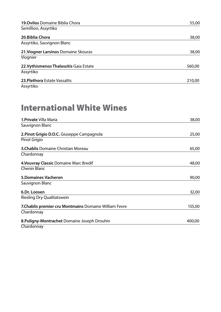| 19. Ovilos Domaine Biblia Chora         | 55,00  |
|-----------------------------------------|--------|
| Semillion, Assyrtiko                    |        |
| 20. Biblia Chora                        | 38,00  |
| Assyrtiko, Sauvignon Blanc              |        |
| 21. Viogner Larsinos Domaine Skouras    | 38,00  |
| Viognier                                |        |
| 22. Vythismenos Thalassitis Gaia Estate | 560,00 |
| Assyrtiko                               |        |
| 23. Plethora Estate Vassaltis           | 210,00 |
| Assyrtiko                               |        |

#### International White Wines

| 1. Private Villa Maria                                 | 38,00  |
|--------------------------------------------------------|--------|
| Sauvignon Blanc                                        |        |
| 2. Pinot Grigio D.O.C. Giuseppe Campagnola             | 25,00  |
| Pinot Grigio                                           |        |
| <b>3. Chablis Domaine Christian Moreau</b>             | 65,00  |
| Chardonnay                                             |        |
| 4. Vouvray Classic Domaine Marc Bredif                 | 48,00  |
| <b>Chenin Blanc</b>                                    |        |
| <b>5.Domaines Vacheron</b>                             | 90,00  |
| Sauvignon Blanc                                        |        |
| 6.Dr. Loosen                                           | 32,00  |
| <b>Riesling Dry Qualitatswein</b>                      |        |
| 7. Chablis premier cru Montmains Domaine William Fevre | 155,00 |
| Chardonnay                                             |        |
| 8. Puligny-Montrachet Domaine Joseph Drouhin           | 400,00 |
| Chardonnay                                             |        |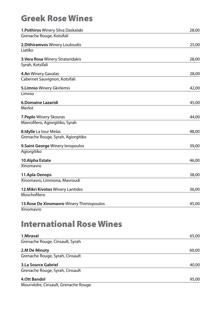#### Greek Rose Wines

| 1. Psithiros Winery Silva Daskalaki       | 28,00 |
|-------------------------------------------|-------|
| Grenache Rouge, Kotsifali                 |       |
| 2. Dithiramvos Winery Louloudis           | 25,00 |
| Liatiko                                   |       |
| 3. Vera Rosa Winery Strataridakis         | 28,00 |
| Syrah, Kotsifali                          |       |
| 4.An Winery Gavalas                       | 28,00 |
| Cabernet Sauvignon, Kotsifali             |       |
| 5. Limnio Winery Gkirlemis                | 42,00 |
| Limnio                                    |       |
| <b>6.Domaine Lazaridi</b>                 | 45,00 |
| Merlot                                    |       |
| 7. Peplo Winery Skouras                   | 44,00 |
| Mavrofilero, Agiorgitiko, Syrah           |       |
| 8. Idylle La tour Melas                   | 48,00 |
| Grenache Rouge, Syrah, Agiorgitiko        |       |
|                                           |       |
| 9. Saint George Winery leropoulos         | 39,00 |
| Agiorgitiko                               |       |
| 10.Alpha Estate                           | 46,00 |
| <b>Xinomavro</b>                          |       |
| 11.Apla Oenops                            | 38,00 |
| Xinomavro, Limniona, Mavroudi             |       |
| 12. Mikri Kivotos Winery Lantides         | 36,00 |
| Moschofilero                              |       |
| 13. Rose De Xinomavro Winery Thimiopoulos | 45,00 |
| Xinomavro                                 |       |
|                                           |       |
| <b>International Rose Wines</b>           |       |
| 1.Miraval                                 | 65,00 |
| Grenache Rouge, Cinsault, Syrah           |       |

| 2.M De Minuty                   | 60,00 |
|---------------------------------|-------|
| Grenache Rouge, Syrah, Cinsault |       |
| 3.La Source Gabriel             | 40,00 |
| Grenache Rouge, Syrah, Cinsault |       |
| <b>4.Ott Bandol</b>             | 95,00 |

Mourvèdre, Cinsault, Grenache Rouge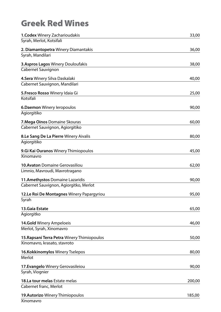### Greek Red Wines

| 1. Codex Winery Zacharioudakis              | 33,00  |
|---------------------------------------------|--------|
| Syrah, Merlot, Kotsifali                    |        |
| 2. Diamantopetra Winery Diamantakis         | 36,00  |
| Syrah, Mandilari                            |        |
| <b>3. Aspros Lagos Winery Douloufakis</b>   | 38,00  |
| <b>Cabernet Sauvignon</b>                   |        |
| 4. Sera Winery Silva Daskalaki              | 40,00  |
| Cabernet Sauvignon, Mandilari               |        |
| 5. Fresco Rosso Winery Idaia Gi             | 25,00  |
| Kotsifali                                   |        |
| 6. Daemon Winery leropoulos                 | 90,00  |
| Agiorgitiko                                 |        |
| 7. Mega Oinos Domaine Skouras               | 60,00  |
| Cabernet Sauvignon, Agiorgitiko             |        |
| 8.Le Sang De La Pierre Winery Aivalis       | 80,00  |
| Agiorgitiko                                 |        |
| 9. Gi Kai Ouranos Winery Thimiopoulos       | 45,00  |
| Xinomavro                                   |        |
| <b>10. Avaton Domaine Gerovasiliou</b>      | 62,00  |
| Limnio, Mavroudi, Mavrotragano              |        |
| 11. Amethystos Domaine Lazaridis            | 90,00  |
| Cabernet Sauvignon, Agiorgitko, Merlot      |        |
| 12.Le Roi De Montagnes Winery Papargyriou   | 95,00  |
| Syrah                                       |        |
| <b>13.Gaia Estate</b>                       | 65,00  |
| Agiorgitko                                  |        |
| 14.Gold Winery Ampeloeis                    | 46,00  |
| Merlot, Syrah, Xinomavro                    |        |
| 15. Rapsani Terra Petra Winery Thimiopoulos | 50,00  |
| Xinomavro, krasato, stavroto                |        |
| 16.Kokkinomylos Winery Tselepos             | 80,00  |
| Merlot                                      |        |
| 17. Evangelo Winery Gerovasileiou           | 90,00  |
| Syrah, Viognier                             |        |
| 18.La tour melas Estate melas               | 200,00 |
| Cabernet franc, Merlot                      |        |
| 19. Autorizo Winery Thimiopoulos            | 185,00 |
| Xinomavro                                   |        |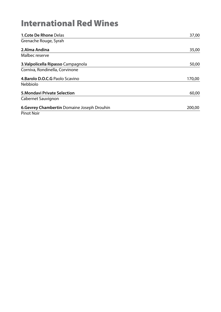### International Red Wines

| <b>1.Cote De Rhone Delas</b>                | 37,00  |
|---------------------------------------------|--------|
| Grenache Rouge, Syrah                       |        |
| 2.Alma Andina                               | 35,00  |
| Malbec reserve                              |        |
| 3. Valpolicella Ripasso Campagnola          | 50,00  |
| Corniva, Rondinella, Corvinone              |        |
| 4. Barolo D.O.C.G Paolo Scavino             | 170,00 |
| <b>Nebbiolo</b>                             |        |
| <b>5. Mondavi Private Selection</b>         | 60,00  |
| Cabernet Sauvignon                          |        |
| 6. Gevrey Chambertin Domaine Joseph Drouhin | 200,00 |
| <b>Pinot Noir</b>                           |        |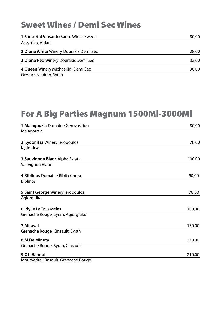#### Sweet Wines / Demi Sec Wines

| <b>1. Santorini Vinsanto Santo Wines Sweet</b> | 80,00 |
|------------------------------------------------|-------|
| Assyrtiko, Aidani                              |       |
| 2. Dione White Winery Dourakis Demi Sec        | 28,00 |
| 3. Dione Red Winery Dourakis Demi Sec          | 32,00 |
| 4. Queen Winery Michaeilidi Demi Sec           | 36,00 |
| Gewürztraminer, Syrah                          |       |

## For A Big Parties Magnum 1500Ml-3000Ml

| 1. Malagouzia Domaine Gerovasiliou  | 80,00  |
|-------------------------------------|--------|
| Malagouzia                          |        |
| 2.Kydonitsa Winery leropoulos       | 78,00  |
| Kydonitsa                           |        |
| 3. Sauvignon Blanc Alpha Estate     | 100,00 |
| Sauvignon Blanc                     |        |
| 4. Biblinos Domaine Biblia Chora    | 90,00  |
| <b>Biblinos</b>                     |        |
| 5. Saint George Winery leropoulos   | 78,00  |
| Agiorgitiko                         |        |
| 6.Idylle La Tour Melas              | 100,00 |
| Grenache Rouge, Syrah, Agiorgitiko  |        |
| 7.Miraval                           | 130,00 |
| Grenache Rouge, Cinsault, Syrah     |        |
| 8.M De Minuty                       | 130,00 |
| Grenache Rouge, Syrah, Cinsault     |        |
| 9.Ott Bandol                        | 210,00 |
| Mourvèdre, Cinsault, Grenache Rouge |        |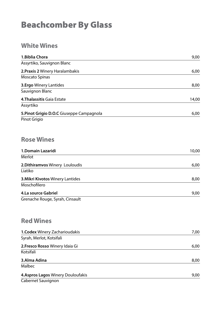#### Beachcomber By Glass

#### **White Wines**

| 1. Biblia Chora                           | 9,00  |
|-------------------------------------------|-------|
| Assyrtiko, Sauvignon Blanc                |       |
| 2. Praxis 2 Winery Haralambakis           | 6,00  |
| <b>Moscato Spinas</b>                     |       |
| <b>3.Ergo Winery Lantides</b>             | 8,00  |
| Sauvignon Blanc                           |       |
| 4. Thalassitis Gaia Estate                | 14,00 |
| Assyrtiko                                 |       |
| 5. Pinot Grigio D.O.C Giuseppe Campagnola | 6,00  |
| Pinot Grigio                              |       |
|                                           |       |
|                                           |       |
| <b>Rose Wines</b>                         |       |
| 1.Domain Lazaridi                         | 10,00 |
| <b>Merlot</b>                             |       |
| 2. Dithiramvos Winery Louloudis           | 6,00  |
| Liatiko                                   |       |
| 3. Mikri Kivotos Winery Lantides          | 8,00  |
| Moschofilero                              |       |
| 4.La source Gabriel                       | 9,00  |
| Grenache Rouge, Syrah, Cinsault           |       |
|                                           |       |
|                                           |       |
| <b>Red Wines</b>                          |       |
|                                           |       |
| 1. Codex Winery Zacharioudakis            | 7,00  |
| Syrah, Merlot, Kotsifali                  |       |
| 2. Fresco Rosso Winery Idaia Gi           | 6,00  |
| Kotsifali                                 |       |
| 3.Alma Adina                              | 8,00  |
| Malbec                                    |       |
| 4. Aspros Lagos Winery Douloufakis        | 9,00  |
| Cabernet Sauvignon                        |       |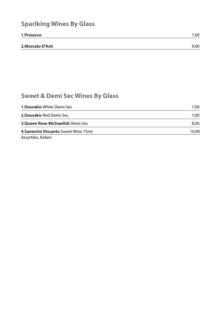#### **Sparlking Wines By Glass**

| 1.Prosecco        | 7,00 |
|-------------------|------|
|                   |      |
| 2. Moscato D'Asti | 9,00 |

#### **Sweet & Demi Sec Wines By Glass**

| <b>1. Dourakis White Demi-Sec</b>     | 7.00  |
|---------------------------------------|-------|
| <b>2. Dourakis Red Demi-Sec</b>       | 7,00  |
| 3. Queen Rose Michaeilidi Demi-Sec    | 8.00  |
| 4. Santorini Vinsanto Sweet Wine 75ml | 10,00 |
|                                       |       |

Assyrtiko, Aidani